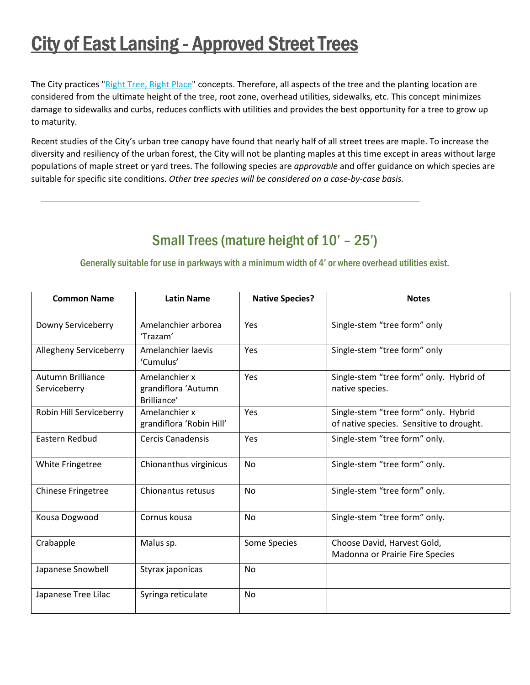# **City of East Lansing - Approved Street Trees**

The City practices "Right Tree, Right Place" concepts. Therefore, all aspects of the tree and the planting location are considered from the ultimate height of the tree, root zone, overhead utilities, sidewalks, etc. This concept minimizes damage to sidewalks and curbs, reduces conflicts with utilities and provides the best opportunity for a tree to grow up to maturity.

Recent studies of the City's urban tree canopy have found that nearly half of all street trees are maple. To increase the diversity and resiliency of the urban forest, the City will not be planting maples at this time except in areas without large populations of maple street or yard trees. The following species are *approvable* and offer guidance on which species are suitable for specific site conditions. *Other tree species will be considered on a case‐by‐case basis.*

## Small Trees (mature height of 10' – 25')

#### Generally suitable for use in parkways with a minimum width of 4' or where overhead utilities exist.

| <b>Common Name</b>                | <b>Latin Name</b>                                   | <b>Native Species?</b> | <b>Notes</b>                                                                     |
|-----------------------------------|-----------------------------------------------------|------------------------|----------------------------------------------------------------------------------|
| Downy Serviceberry                | Amelanchier arborea<br>'Trazam'                     | Yes                    | Single-stem "tree form" only                                                     |
| Allegheny Serviceberry            | Amelanchier laevis<br>'Cumulus'                     | <b>Yes</b>             | Single-stem "tree form" only                                                     |
| Autumn Brilliance<br>Serviceberry | Amelanchier x<br>grandiflora 'Autumn<br>Brilliance' | <b>Yes</b>             | Single-stem "tree form" only. Hybrid of<br>native species.                       |
| Robin Hill Serviceberry           | Amelanchier x<br>grandiflora 'Robin Hill'           | <b>Yes</b>             | Single-stem "tree form" only. Hybrid<br>of native species. Sensitive to drought. |
| Eastern Redbud                    | <b>Cercis Canadensis</b>                            | <b>Yes</b>             | Single-stem "tree form" only.                                                    |
| White Fringetree                  | Chionanthus virginicus                              | No                     | Single-stem "tree form" only.                                                    |
| <b>Chinese Fringetree</b>         | Chionantus retusus                                  | <b>No</b>              | Single-stem "tree form" only.                                                    |
| Kousa Dogwood                     | Cornus kousa                                        | <b>No</b>              | Single-stem "tree form" only.                                                    |
| Crabapple                         | Malus sp.                                           | Some Species           | Choose David, Harvest Gold,<br>Madonna or Prairie Fire Species                   |
| Japanese Snowbell                 | Styrax japonicas                                    | No                     |                                                                                  |
| Japanese Tree Lilac               | Syringa reticulate                                  | <b>No</b>              |                                                                                  |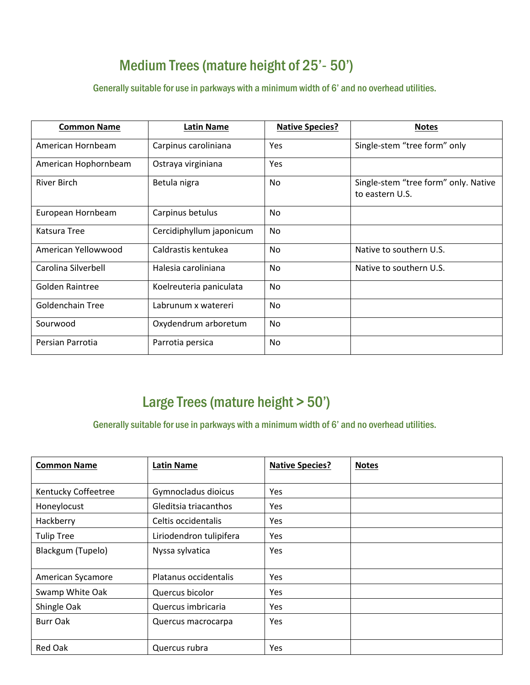### Medium Trees (mature height of 25'- 50')

Generally suitable for use in parkways with a minimum width of 6' and no overhead utilities.

| <b>Common Name</b>   | <b>Latin Name</b>        | <b>Native Species?</b> | <b>Notes</b>                                            |
|----------------------|--------------------------|------------------------|---------------------------------------------------------|
| American Hornbeam    | Carpinus caroliniana     | Yes                    | Single-stem "tree form" only                            |
| American Hophornbeam | Ostraya virginiana       | Yes                    |                                                         |
| <b>River Birch</b>   | Betula nigra             | <b>No</b>              | Single-stem "tree form" only. Native<br>to eastern U.S. |
| European Hornbeam    | Carpinus betulus         | <b>No</b>              |                                                         |
| Katsura Tree         | Cercidiphyllum japonicum | No.                    |                                                         |
| American Yellowwood  | Caldrastis kentukea      | <b>No</b>              | Native to southern U.S.                                 |
| Carolina Silverbell  | Halesia caroliniana      | No.                    | Native to southern U.S.                                 |
| Golden Raintree      | Koelreuteria paniculata  | <b>No</b>              |                                                         |
| Goldenchain Tree     | Labrunum x watereri      | <b>No</b>              |                                                         |
| Sourwood             | Oxydendrum arboretum     | <b>No</b>              |                                                         |
| Persian Parrotia     | Parrotia persica         | No                     |                                                         |

### Large Trees (mature height > 50')

Generally suitable for use in parkways with a minimum width of 6' and no overhead utilities.

| <b>Common Name</b>  | <b>Latin Name</b>       | <b>Native Species?</b> | <b>Notes</b> |
|---------------------|-------------------------|------------------------|--------------|
| Kentucky Coffeetree | Gymnocladus dioicus     | Yes                    |              |
| Honeylocust         | Gleditsia triacanthos   | Yes                    |              |
| Hackberry           | Celtis occidentalis     | Yes                    |              |
| <b>Tulip Tree</b>   | Liriodendron tulipifera | Yes                    |              |
| Blackgum (Tupelo)   | Nyssa sylvatica         | Yes                    |              |
| American Sycamore   | Platanus occidentalis   | Yes                    |              |
| Swamp White Oak     | Quercus bicolor         | Yes                    |              |
| Shingle Oak         | Quercus imbricaria      | Yes                    |              |
| Burr Oak            | Quercus macrocarpa      | Yes                    |              |
| <b>Red Oak</b>      | Quercus rubra           | Yes                    |              |